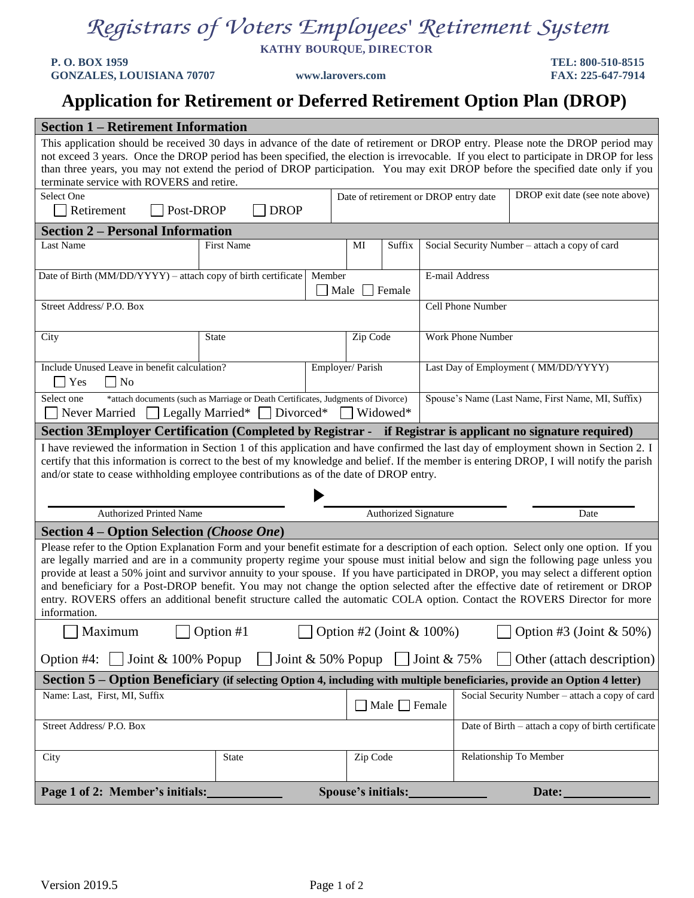## *Registrars of Voters Employees' Retirement System*

**KATHY BOURQUE, DIRECTOR**

**P. O. BOX 1959 TEL: 800-510-8515 GONZALES, LOUISIANA 70707 www.larovers.com FAX: 225-647-7914**

## **Application for Retirement or Deferred Retirement Option Plan (DROP)**

| <b>Section 1 – Retirement Information</b>                                                                                                                                                                                                                                                                                                                                                                                                                                                                                                                                                                                                                                                            |                                              |  |                                     |                                                                          |                   |                                                   |                                                    |  |  |
|------------------------------------------------------------------------------------------------------------------------------------------------------------------------------------------------------------------------------------------------------------------------------------------------------------------------------------------------------------------------------------------------------------------------------------------------------------------------------------------------------------------------------------------------------------------------------------------------------------------------------------------------------------------------------------------------------|----------------------------------------------|--|-------------------------------------|--------------------------------------------------------------------------|-------------------|---------------------------------------------------|----------------------------------------------------|--|--|
| This application should be received 30 days in advance of the date of retirement or DROP entry. Please note the DROP period may<br>not exceed 3 years. Once the DROP period has been specified, the election is irrevocable. If you elect to participate in DROP for less<br>than three years, you may not extend the period of DROP participation. You may exit DROP before the specified date only if you<br>terminate service with ROVERS and retire.                                                                                                                                                                                                                                             |                                              |  |                                     |                                                                          |                   |                                                   |                                                    |  |  |
|                                                                                                                                                                                                                                                                                                                                                                                                                                                                                                                                                                                                                                                                                                      | Select One<br><b>DROP</b>                    |  |                                     | DROP exit date (see note above)<br>Date of retirement or DROP entry date |                   |                                                   |                                                    |  |  |
| Retirement<br>Post-DROP                                                                                                                                                                                                                                                                                                                                                                                                                                                                                                                                                                                                                                                                              |                                              |  |                                     |                                                                          |                   |                                                   |                                                    |  |  |
| <b>Section 2 – Personal Information</b>                                                                                                                                                                                                                                                                                                                                                                                                                                                                                                                                                                                                                                                              |                                              |  | MI                                  |                                                                          |                   |                                                   |                                                    |  |  |
| Last Name                                                                                                                                                                                                                                                                                                                                                                                                                                                                                                                                                                                                                                                                                            | <b>First Name</b>                            |  |                                     | Suffix                                                                   |                   | Social Security Number - attach a copy of card    |                                                    |  |  |
| Date of Birth (MM/DD/YYYY) - attach copy of birth certificate<br>Member                                                                                                                                                                                                                                                                                                                                                                                                                                                                                                                                                                                                                              |                                              |  | Male                                | Female                                                                   | E-mail Address    |                                                   |                                                    |  |  |
| Street Address/P.O. Box                                                                                                                                                                                                                                                                                                                                                                                                                                                                                                                                                                                                                                                                              |                                              |  |                                     |                                                                          |                   | Cell Phone Number                                 |                                                    |  |  |
| City                                                                                                                                                                                                                                                                                                                                                                                                                                                                                                                                                                                                                                                                                                 | <b>State</b>                                 |  | Zip Code                            |                                                                          | Work Phone Number |                                                   |                                                    |  |  |
| Yes<br>$\Box$ No<br>$\overline{\phantom{a}}$                                                                                                                                                                                                                                                                                                                                                                                                                                                                                                                                                                                                                                                         | Include Unused Leave in benefit calculation? |  | Employer/ Parish                    |                                                                          |                   | Last Day of Employment (MM/DD/YYYY)               |                                                    |  |  |
| *attach documents (such as Marriage or Death Certificates, Judgments of Divorce)<br>Select one<br>Legally Married*<br>Divorced*<br>Never Married                                                                                                                                                                                                                                                                                                                                                                                                                                                                                                                                                     |                                              |  |                                     | Widowed*                                                                 |                   | Spouse's Name (Last Name, First Name, MI, Suffix) |                                                    |  |  |
| Section 3Employer Certification (Completed by Registrar - if Registrar is applicant no signature required)                                                                                                                                                                                                                                                                                                                                                                                                                                                                                                                                                                                           |                                              |  |                                     |                                                                          |                   |                                                   |                                                    |  |  |
| I have reviewed the information in Section 1 of this application and have confirmed the last day of employment shown in Section 2. I<br>certify that this information is correct to the best of my knowledge and belief. If the member is entering DROP, I will notify the parish<br>and/or state to cease withholding employee contributions as of the date of DROP entry.                                                                                                                                                                                                                                                                                                                          |                                              |  |                                     |                                                                          |                   |                                                   |                                                    |  |  |
| <b>Authorized Printed Name</b>                                                                                                                                                                                                                                                                                                                                                                                                                                                                                                                                                                                                                                                                       |                                              |  | <b>Authorized Signature</b><br>Date |                                                                          |                   |                                                   |                                                    |  |  |
| <b>Section 4 – Option Selection (Choose One)</b>                                                                                                                                                                                                                                                                                                                                                                                                                                                                                                                                                                                                                                                     |                                              |  |                                     |                                                                          |                   |                                                   |                                                    |  |  |
| Please refer to the Option Explanation Form and your benefit estimate for a description of each option. Select only one option. If you<br>are legally married and are in a community property regime your spouse must initial below and sign the following page unless you<br>provide at least a 50% joint and survivor annuity to your spouse. If you have participated in DROP, you may select a different option<br>and beneficiary for a Post-DROP benefit. You may not change the option selected after the effective date of retirement or DROP<br>entry. ROVERS offers an additional benefit structure called the automatic COLA option. Contact the ROVERS Director for more<br>information. |                                              |  |                                     |                                                                          |                   |                                                   |                                                    |  |  |
| Maximum<br>Option #1<br>Option #2 (Joint $& 100\%$ )<br>Option #3 (Joint $& 50\%)$                                                                                                                                                                                                                                                                                                                                                                                                                                                                                                                                                                                                                   |                                              |  |                                     |                                                                          |                   |                                                   |                                                    |  |  |
| Option #4: $\vert$ Joint & 100% Popup<br>Joint $& 50\%$ Popup<br>Joint & $75\%$<br>Other (attach description)                                                                                                                                                                                                                                                                                                                                                                                                                                                                                                                                                                                        |                                              |  |                                     |                                                                          |                   |                                                   |                                                    |  |  |
| Section 5 – Option Beneficiary (if selecting Option 4, including with multiple beneficiaries, provide an Option 4 letter)                                                                                                                                                                                                                                                                                                                                                                                                                                                                                                                                                                            |                                              |  |                                     |                                                                          |                   |                                                   |                                                    |  |  |
| Name: Last, First, MI, Suffix                                                                                                                                                                                                                                                                                                                                                                                                                                                                                                                                                                                                                                                                        |                                              |  |                                     | $\blacksquare$ Male $\blacksquare$ Female                                |                   | Social Security Number - attach a copy of card    |                                                    |  |  |
| Street Address/ P.O. Box                                                                                                                                                                                                                                                                                                                                                                                                                                                                                                                                                                                                                                                                             |                                              |  |                                     |                                                                          |                   |                                                   | Date of Birth - attach a copy of birth certificate |  |  |
| City                                                                                                                                                                                                                                                                                                                                                                                                                                                                                                                                                                                                                                                                                                 | State                                        |  | Zip Code                            |                                                                          |                   | Relationship To Member                            |                                                    |  |  |
| Page 1 of 2: Member's initials:                                                                                                                                                                                                                                                                                                                                                                                                                                                                                                                                                                                                                                                                      |                                              |  | Spouse's initials:                  |                                                                          |                   |                                                   | Date:                                              |  |  |